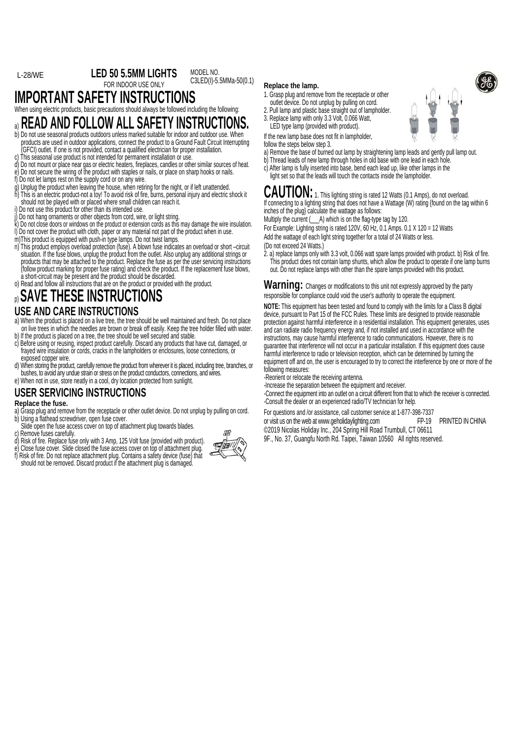#### **LED 50 5.5MM LIGHTS**  L-28/WE MODEL NO.

C3LED(I)-5.5MMa-50(0.1)

FOR INDOOR USE ONLY **IMPORTANT SAFETY INSTRUCTIONS** 

When using electric products, basic precautions should always be followed including the following:

# a) **READ AND FOLLOW ALL SAFETY INSTRUCTIONS.**

- b) Do not use seasonal products outdoors unless marked suitable for indoor and outdoor use. When products are used in outdoor applications, connect the product to a Ground Fault Circuit Interrupting<br>(GFCI) outlet. If one is not provided, contact a qualified electrician for proper installation. This seasonal use product is not intended for permanent installation or use.
- d) Do not mount or place near gas or electric heaters, fireplaces, candles or other similar sources of heat.
- e) Do not secure the wiring of the product with staples or nails, or place on sharp hooks or nails.
- f) Do not let lamps rest on the supply cord or on any wire.
- g) Unplug the product when leaving the house, when retiring for the night, or if left unattended.
- K) This is an electric product-not a toy! To avoid risk of fire, burists personal injury and electric shock it<br>should not be played with or placed where small children can reach it.<br>i) Do not use this product for other tha
- 
- j) Do not hang ornaments or other objects from cord, wire, or light string.
- k) Do not close doors or windows on the product or extension cords as this may damage the wire insulation.
- l) Do not cover the product with cloth, paper or any material not part of the product when in use.
- m)This product is equipped with push-in type lamps. Do not twist lamps.
- n) This product employs overload protection (fuse). A blown fuse indicates an overload or short –circuit<br>situation. If the fuse blows, unplug the product from the outlet. Also unplug any additional strings or products that may be attached to the product. Replace the fuse as per the user servicing instructions (follow product marking for proper fuse rating) and check the product. If the replacement fuse blows,
- o) Read and follow all instructions that are on the product or provided with the product.

## p) **SAVE THESE INSTRUCTIONS USE AND CARE INSTRUCTIONS**

- a) When the product is placed on a live tree, the tree should be well maintained and fresh. Do not place on live trees in which the needles are brown or break off easily. Keep the tree holder filled with water. b) If the product is placed on a tree, the tree should be well secured and stable.
- c) Before using or reusing, inspect product carefully. Discard any products that have cut, damaged, or frayed wire insulation or cords, cracks in the lampholders or enclosures, loose connections, or exposed conner wire.
- d) when storing the product, carefully remove the product from wherever it is placed, including tree, branches, or bushes, to avoid any undue strain or stress on the product conductors, connections, and wires.
- e) When not in use, store neatly in a cool, dry location protected from sunlight.

### **USER SERVICING INSTRUCTIONS**

#### **Replace the fuse.**

- a) Grasp plug and remove from the receptacle or other outlet device. Do not unplug by pulling on cord.<br>b) Using a flathead screwdriver, open fuse cover.
- Slide open the fuse access cover on top of attachment plug towards blades.<br>
c) Remove fuses carefully.<br>
d) Risk of fire. Replace fuse only with 3 Amp, 125 Volt fuse (provided with product)
- 
- 
- 
- e) Close fuse cover. Slide closed the fuse access cover on top of attachment plug.<br>f) Risk of fire. Do not replace attachment plug. Contains a safety device (fuse) that should not be removed. Discard product if the attachment plug is damaged.



#### **Replace the lamp.**

- 1. Grasp plug and remove from the receptacle or other
- outlet device. Do not unplug by pulling on cord.
- 2. Pull lamp and plastic base straight out of lampholder.
- 3. Replace lamp with only 3.3 Volt, 0.066 Watt,

LED type lamp (provided with product). If the new lamp base does not fit in lampholder,

follow the steps below step 3.

- a) Remove the base of burned out lamp by straightening lamp leads and gently pull lamp out.
- b) Thread leads of new lamp through holes in old base with one lead in each hole c) After lamp is fully inserted into base, bend each lead up, like other lamps in the
- light set so that the leads will touch the contacts inside the lampholder.

#### $\mathsf{CAUTION:}$  1. This lighting string is rated 12 Watts (0.1 Amps), do not overload. If connecting to a lighting string that does not have a Wattage (W) rating (found on the tag within 6 inches of the plug} calculate the wattage as follows:

Multiply the current ( $\_\$ A) which is on the flag-type tag by 120.

For Example: Lighting string is rated 120V, 60 Hz, 0.1 Amps. 0.1 X 120 = 12 Watts

Add the wattage of each light string together for a total of 24 Watts or less.

(Do not exceed 24 Watts.)

2. a) replace lamps only with 3.3 volt, 0.066 watt spare lamps provided with product. b) Risk of fire. This product does not contain lamp shunts, which allow the product to operate if one lamp burns out. Do not replace lamps with other than the spare lamps provided with this product.

Warning: Changes or modifications to this unit not expressly approved by the party responsible for compliance could void the user's authority to operate the equipment.

**NOTE:** This equipment has been tested and found to comply with the limits for a Class B digital device, pursuant to Part 15 of the FCC Rules. These limits are designed to provide reasonable protection against harmful interference in a residential installation. This equipment generates, uses and can radiate radio frequency energy and, if not installed and used in accordance with the instructions, may cause harmful interference to radio communications. However, there is no guarantee that interference will not occur in a particular installation. If this equipment does cause harmful interference to radio or television reception, which can be determined by turning the equipment off and on, the user is encouraged to try to correct the interference by one or more of the following measures:

-Reorient or relocate the receiving antenna.

-Increase the separation between the equipment and receiver.

-Connect the equipment into an outlet on a circuit different from that to which the receiver is connected. -Consult the dealer or an experienced radio/TV technician for help.

For questions and /or assistance, call customer service at 1-877-398-7337 or visit us on the web at www.geholidaylighting.com FP-19 PRINTED IN CHINA

- ©2019 Nicolas Holiday Inc., 204 Spring Hill Road Trumbull, CT 06611
- 9F., No. 37, Guangfu North Rd. Taipei, Taiwan 10560 All rights reserved.